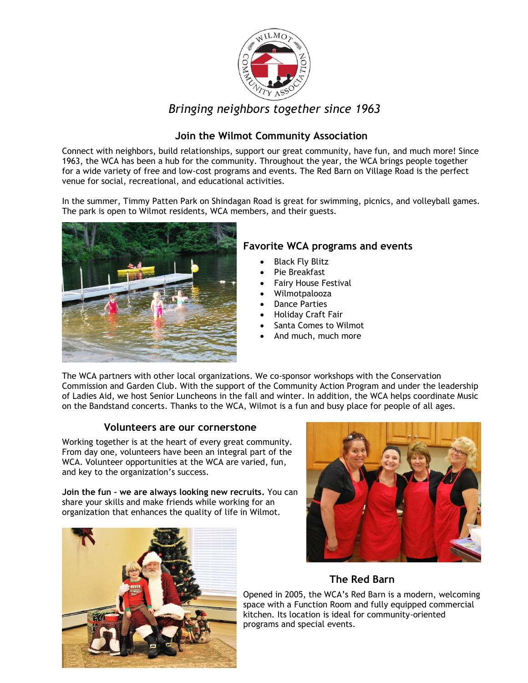

# *Bringing neighbors together since 1963*

### **Join the Wilmot Community Association**

Connect with neighbors, build relationships, support our great community, have fun, and much more! Since 1963, the WCA has been a hub for the community. Throughout the year, the WCA brings people together for a wide variety of free and low-cost programs and events. The Red Barn on Village Road is the perfect venue for social, recreational, and educational activities.

In the summer, Timmy Patten Park on Shindagan Road is great for swimming, picnics, and volleyball games. The park is open to Wilmot residents, WCA members, and their guests.



### **Favorite WCA programs and events**

- Black Fly Blitz
- Pie Breakfast
- Fairy House Festival
- Wilmotpalooza
- **Dance Parties**
- Holiday Craft Fair
- Santa Comes to Wilmot
- And much, much more

The WCA partners with other local organizations. We co-sponsor workshops with the Conservation Commission and Garden Club. With the support of the Community Action Program and under the leadership of Ladies Aid, we host Senior Luncheons in the fall and winter. In addition, the WCA helps coordinate Music on the Bandstand concerts. Thanks to the WCA, Wilmot is a fun and busy place for people of all ages.

#### **Volunteers are our cornerstone**

Working together is at the heart of every great community. From day one, volunteers have been an integral part of the WCA. Volunteer opportunities at the WCA are varied, fun, and key to the organization's success.

**Join the fun – we are always looking new recruits.** You can share your skills and make friends while working for an organization that enhances the quality of life in Wilmot.





## **The Red Barn**

Opened in 2005, the WCA's Red Barn is a modern, welcoming space with a Function Room and fully equipped commercial kitchen. Its location is ideal for community-oriented programs and special events.